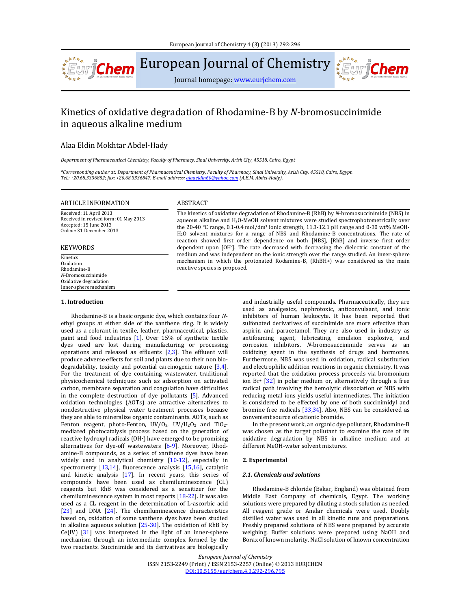

European Journal of Chemistry

Journal homepage: www.eurjchem.com

# Kinetics of oxidative degradation of Rhodamine-B by N-bromosuccinimide in aqueous alkaline medium

## Alaa Eldin Mokhtar Abdel‐Hady

*Department of Pharmaceutical Chemistry, Faculty of Pharmacy, Sinai University, Arish City, 45518, Cairo, Egypt*

\*Corresponding author at: Department of Pharmaceutical Chemistry, Faculty of Pharmacy, Sinai University, Arish City, 45518, Cairo, Egypt. *Tel.: +20.68.3336852; fax: +20.68.3336847. E‐mail address: alaaeldin60@yahoo.com (A.E.M. Abdel‐Hady).*

# ARTICLE INFORMATION ABSTRACT

Received: 11 April 2013 Received in revised form: 01 May 2013 Accepted: 15 June 2013 Online: 31 December 2013 

### KEYWORDS

Kinetics **Oxidation** Rhodamine‐B *N*‐Bromosuccinimide Oxidative degradation Inner-sphere mechanism

#### **1. Introduction**

Rhodamine-B is a basic organic dye, which contains four Nethyl groups at either side of the xanthene ring. It is widely used as a colorant in textile, leather, pharmaceutical, plastics, paint and food industries [1]. Over 15% of synthetic textile dyes used are lost during manufacturing or processing operations and released as effluents  $[2,3]$ . The effluent will produce adverse effects for soil and plants due to their non biodegradability, toxicity and potential carcinogenic nature  $[3,4]$ . For the treatment of dye containing wastewater, traditional physicochemical techniques such as adsorption on activated carbon, membrane separation and coagulation have difficulties in the complete destruction of dye pollutants  $[5]$ . Advanced oxidation technologies (AOTs) are attractive alternatives to nondestructive physical water treatment processes because they are able to mineralize organic contaminants. AOTs, such as Fenton reagent, photo-Fenton,  $UV/O<sub>3</sub>$ ,  $UV/H<sub>2</sub>O<sub>2</sub>$  and  $TiO<sub>2</sub>$ mediated photocatalysis process based on the generation of reactive hydroxyl radicals (OH∙) have emerged to be promising alternatives for dye-off wastewaters  $[6-9]$ . Moreover, Rhodamine-B compounds, as a series of xanthene dyes have been widely used in analytical chemistry  $[10-12]$ , especially in spectrometry  $[13,14]$ , fluorescence analysis  $[15,16]$ , catalytic and kinetic analysis  $[17]$ . In recent years, this series of compounds have been used as chemiluminescence (CL) reagents but RhB was considered as a sensitizer for the chemiluminescence system in most reports  $[18-22]$ . It was also used as a CL reagent in the determination of L-ascorbic acid  $[23]$  and DNA  $[24]$ . The chemiluminescence characteristics based on, oxidation of some xanthene dyes have been studied in alkaline aqueous solution  $[25-30]$ . The oxidation of RhB by Ce(IV)  $[31]$  was interpreted in the light of an inner-sphere mechanism through an intermediate complex formed by the two reactants. Succinimide and its derivatives are biologically

The kinetics of oxidative degradation of Rhodamine-B (RhB) by *N*-bromosuccinimide (NBS) in aqueous alkaline and  $H_2O$ -MeOH solvent mixtures were studied spectrophotometrically over the 20-40 °C range, 0.1-0.4 mol/dm<sup>3</sup> ionic strength, 11.3-12.1 pH range and 0-30 wt% MeOH-H<sub>2</sub>O solvent mixtures for a range of NBS and Rhodamine-B concentrations. The rate of reaction showed first order dependence on both [NBS], [RhB] and inverse first order dependent upon [OH<sup>-</sup>]. The rate decreased with decreasing the dielectric constant of the medium and was independent on the ionic strength over the range studied. An inner-sphere mechanism in which the protonated Rodamine-B, (RhBH+) was considered as the main reactive species is proposed.

> and industrially useful compounds. Pharmaceutically, they are used as analgesics, nephrotoxic, anticonvulsant, and ionic inhibitors of human leukocyte. It has been reported that sulfonated derivatives of succinimide are more effective than aspirin and paracetamol. They are also used in industry as antifoaming agent, lubricating, emulsion explosive, and corrosion inhibitors. *N*-bromosuccinimide serves as an oxidizing agent in the synthesis of drugs and hormones. Furthermore, NBS was used in oxidation, radical substitution and electrophilic addition reactions in organic chemistry. It was reported that the oxidation process proceeds via bromonium ion  $Br^{+}$  [32] in polar medium or, alternatively through a free radical path involving the hemolytic dissociation of NBS with reducing metal ions yields useful intermediates. The initiation is considered to be effected by one of both succinimidyl and bromine free radicals  $[33,34]$ . Also, NBS can be considered as convenient source of cationic bromide.

权贡炼

In the present work, an organic dye pollutant, Rhodamine-B was chosen as the target pollutant to examine the rate of its oxidative degradation by NBS in alkaline medium and at different MeOH-water solvent mixtures.

#### **2. Experimental**

#### *2.1. Chemicals and solutions*

Rhodamine-B chloride (Bakar, England) was obtained from Middle East Company of chemicals, Egypt. The working solutions were prepared by diluting a stock solution as needed. All reagent grade or Analar chemicals were used. Doubly distilled water was used in all kinetic runs and preparations. Freshly prepared solutions of NBS were prepared by accurate weighing. Buffer solutions were prepared using NaOH and Borax of known molarity. NaCl solution of known concentration

*European Journal of Chemistry*

ISSN 2153-2249 (Print) / ISSN 2153-2257 (Online) © 2013 EURJCHEM DOI:10.5155/eurjchem.4.3.292‐296.795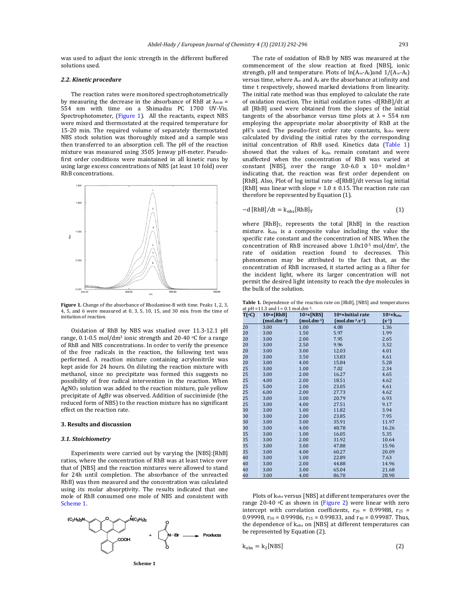was used to adjust the ionic strength in the different buffered solutions used.

#### *2.2. Kinetic procedure*

The reaction rates were monitored spectrophotometrically by measuring the decrease in the absorbance of RhB at  $\lambda_{\text{max}} =$ 554 nm with time on a Shimadzu PC 1700 UV-Vis. Spectrophotometer, (Figure 1). All the reactants, expect NBS were mixed and thermostated at the required temperature for 15-20 min. The required volume of separately thermostated NBS stock solution was thoroughly mixed and a sample was then transferred to an absorption cell. The pH of the reaction mixture was measured using 3505 Jenway pH-meter. Pseudofirst order conditions were maintained in all kinetic runs by using large excess concentrations of NBS (at least 10 fold) over RhB concentrations.



**Figure 1.** Change of the absorbance of Rhodamine-B with time. Peaks 1, 2, 3,  $4, 5$ , and 6 were measured at 0, 3, 5, 10, 15, and 30 min. from the time of initiation of reaction.

Oxidation of RhB by NBS was studied over 11.3-12.1 pH range, 0.1-0.5 mol/dm<sup>3</sup> ionic strength and 20-40  $\,^{\circ}$ C for a range of RhB and NBS concentrations. In order to verify the presence of the free radicals in the reaction, the following test was performed. A reaction mixture containing acrylonitrile was kept aside for 24 hours. On diluting the reaction mixture with methanol, since no precipitate was formed this suggests no possibility of free radical intervention in the reaction. When  $AgNO<sub>3</sub>$  solution was added to the reaction mixture, pale yellow precipitate of AgBr was observed. Addition of succinimide (the reduced form of NBS) to the reaction mixture has no significant effect on the reaction rate.

#### **3. Results and discussion**

#### *3.1. Stoichiometry*

Experiments were carried out by varying the [NBS]:[RhB] ratios, where the concentration of RhB was at least twice over that of [NBS] and the reaction mixtures were allowed to stand for 24h until completion. The absorbance of the unreacted RhB) was then measured and the concentration was calculated using its molar absorptivity. The results indicated that one mole of RhB consumed one mole of NBS and consistent with Scheme 1.



The rate of oxidation of RhB by NBS was measured at the commencement of the slow reaction at fixed [NBS], ionic strength, pH and temperature. Plots of  $ln(A_{\infty}$ -A<sub>t</sub>)and  $1/(A_{\infty}$ -A<sub>t</sub>) versus time, where  $A_{\infty}$  and  $A_t$  are the absorbance at infinity and time t respectively, showed marked deviations from linearity. The initial rate method was thus employed to calculate the rate of oxidation reaction. The initial oxidation rates -d[RhB]/dt at all [RhB] used were obtained from the slopes of the initial tangents of the absorbance versus time plots at  $\lambda = 554$  nm employing the appropriate molar absorptivity of RhB at the pH's used. The pseudo-first order rate constants,  $k_{obs}$  were calculated by dividing the initial rates by the corresponding initial concentration of RhB used. Kinetics data (Table 1) showed that the values of kobs remain constant and were unaffected when the concentration of RhB was varied at constant [NBS], over the range  $3.0-6.0 \times 10^{-6}$  mol.dm<sup>-3</sup> indicating that, the reaction was first order dependent on [RhB]. Also, Plot of log initial rate -d[RhB]/dt versus log initial [RhB] was linear with slope =  $1.0 \pm 0.15$ . The reaction rate can therefore be represented by Equation (1).

$$
-d [RhB]/dt = k_{obs} [RhB]_T
$$
 (1)

where  $[RhB]_T$ , represents the total  $[RhB]$  in the reaction mixture.  $k_{obs}$  is a composite value including the value the specific rate constant and the concentration of NBS. When the concentration of RhB increased above  $1.0x10^{-5}$  mol/dm<sup>3</sup>, the rate of oxidation reaction found to decreases. This phenomenon may be attributed to the fact that, as the concentration of RhB increased, it started acting as a filter for the incident light, where its larger concentration will not permit the desired light intensity to reach the dye molecules in the bulk of the solution.

**Table 1.** Dependence of the reaction rate on [RhB], [NBS] and temperatures at  $pH = 11.3$  and  $I = 0.1$  mol.dm<sup>-3</sup>.

| T(°C) | $106 \times [RhB]$ | $103 \times [NBS]$ | $109$ × Initial rate        | $10^3 \times k_{obs}$ |
|-------|--------------------|--------------------|-----------------------------|-----------------------|
|       | $(mod \,dm^{-3})$  | $(mol.dim^{-3})$   | $(mod \, dm^{-3} . S^{-1})$ | $(S^{-1})$            |
| 20    | 3.00               | 1.00               | 4.08                        | 1.36                  |
| 20    | 3.00               | 1.50               | 5.97                        | 1.99                  |
| 20    | 3.00               | 2.00               | 7.95                        | 2.65                  |
| 20    | 3.00               | 2.50               | 9.96                        | 3.32                  |
| 20    | 3.00               | 3.00               | 12.03                       | 4.01                  |
| 20    | 3.00               | 3.50               | 13.83                       | 4.61                  |
| 20    | 3.00               | 4.00               | 15.84                       | 5.28                  |
| 25    | 3.00               | 1.00               | 7.02                        | 2.34                  |
| 25    | 3.00               | 2.00               | 16.27                       | 4.65                  |
| 25    | 4.00               | 2.00               | 18.51                       | 4.62                  |
| 25    | 5.00               | 2.00               | 23.05                       | 4.61                  |
| 25    | 6.00               | 2.00               | 27.73                       | 4.62                  |
| 25    | 3.00               | 3.00               | 20.79                       | 6.93                  |
| 25    | 3.00               | 4.00               | 27.51                       | 9.17                  |
| 30    | 3.00               | 1.00               | 11.82                       | 3.94                  |
| 30    | 3.00               | 2.00               | 23.85                       | 7.95                  |
| 30    | 3.00               | 3.00               | 35.91                       | 11.97                 |
| 30    | 3.00               | 4.00               | 48.78                       | 16.26                 |
| 35    | 3.00               | 1.00               | 16.05                       | 5.35                  |
| 35    | 3.00               | 2.00               | 31.92                       | 10.64                 |
| 35    | 3.00               | 3.00               | 47.88                       | 15.96                 |
| 35    | 3.00               | 4.00               | 60.27                       | 20.09                 |
| 40    | 3.00               | 1.00               | 22.89                       | 7.63                  |
| 40    | 3.00               | 2.00               | 44.88                       | 14.96                 |
| 40    | 3.00               | 3.00               | 65.04                       | 21.68                 |
| 40    | 3.00               | 4.00               | 86.70                       | 28.90                 |

Plots of  $k_{obs}$  versus [NBS] at different temperatures over the range 20-40  $\circ$ C as shown in (Figure 2) were linear with zero intercept with correlation coefficients,  $r_{20} = 0.99988$ ,  $r_{25} =$ 0.99998,  $r_{30} = 0.99986$ ,  $r_{35} = 0.99833$ , and  $r_{40} = 0.99987$ . Thus, the dependence of kobs on [NBS] at different temperatures can be represented by Equation (2).

$$
k_{obs} = k_2[NBS] \tag{2}
$$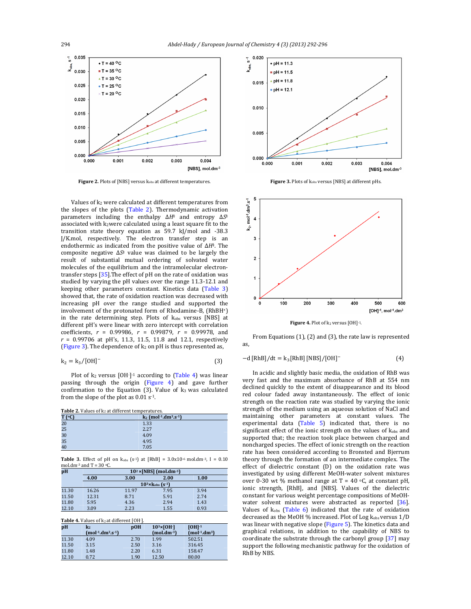

Figure 2. Plots of [NBS] versus  $k_{obs}$  at different temperatures.

Values of  $k_2$  were calculated at different temperatures from the slopes of the plots  $(Table 2)$ . Thermodynamic activation parameters including the enthalpy  $ΔH<sup>‡</sup>$  and entropy  $ΔS<sup>‡</sup>$ associated with k2were calculated using a least square fit to the transition state theory equation as  $59.7$  kJ/mol and  $-38.3$ J/K.mol, respectively. The electron transfer step is an endothermic as indicated from the positive value of ∆*H*<sup>‡</sup>. The composite negative  $\Delta S$ <sup>‡</sup> value was claimed to be largely the result of substantial mutual ordering of solvated water molecules of the equilibrium and the intramolecular electrontransfer steps  $[35]$ . The effect of pH on the rate of oxidation was studied by varying the pH values over the range 11.3-12.1 and keeping other parameters constant. Kinetics data (Table 3) showed that, the rate of oxidation reaction was decreased with increasing pH over the range studied and supported the involvement of the protonated form of Rhodamine-B, (RhBH+) in the rate determining step. Plots of k<sub>obs</sub> versus [NBS] at different pH's were linear with zero intercept with correlation coefficients, *r* = 0.99986, *r* = 0.99879, *r* = 0.99978, and  $r = 0.99706$  at pH's, 11.3, 11.5, 11.8 and 12.1, respectively (Figure 3). The dependence of  $k_2$  on pH is thus represented as,

$$
k_2 = k_3 / [OH]^-
$$
 (3)

Plot of  $k_2$  versus  $[OH]<sup>-1</sup>$  according to  $(Table 4)$  was linear passing through the origin  $(Figure 4)$  and gave further confirmation to the Equation  $(3)$ . Value of  $k_3$  was calculated from the slope of the plot as  $0.01$  s<sup>-1</sup>.

**Table 2.** Values of  $k_2$  at different temperatures.

| T (oC) | $k_2$ (mol <sup>-1</sup> .dm <sup>3</sup> .s <sup>-1</sup> ) |
|--------|--------------------------------------------------------------|
| 20     | 1.33                                                         |
| 25     | 2.27                                                         |
| 30     | 4.09                                                         |
| 35     | 4.95                                                         |
| 40     | 7.05                                                         |

**Table 3.** Effect of pH on  $k_{obs}$  (s-1) at [RhB] =  $3.0x10^{-6}$  mol.dm<sup>-3</sup>, I =  $0.10$ mol.dm<sup>-3</sup> and  $T = 30 °C$ .

| рH    | $10^2$ × [NBS] (mol.dm <sup>-3</sup> )  |       |      |      |  |
|-------|-----------------------------------------|-------|------|------|--|
|       | 4.00                                    | 3.00  | 2.00 | 1.00 |  |
|       | $10^{3}$ × $k_{obs}$ (s <sup>-1</sup> ) |       |      |      |  |
| 11.30 | 16.26                                   | 11.97 | 7.95 | 3.94 |  |
| 11.50 | 12.31                                   | 8.71  | 5.91 | 2.74 |  |
| 11.80 | 5.95                                    | 4.36  | 2.94 | 1.43 |  |
| 12.10 | 3.09                                    | 2.23  | 1.55 | 0.93 |  |

**Table 4.** Values of  $k_2$  at different [OH-].

| pH    | k2                | pOH  | $103 \times [OH-]$ | $IOH1-1$      |
|-------|-------------------|------|--------------------|---------------|
|       | $(mol-1.dm3.s-1)$ |      | $(mol.dim^{-3})$   | $(mol-1.dm3)$ |
| 11.30 | 4.09              | 2.70 | 1.99               | 502.51        |
| 11.50 | 3.15              | 2.50 | 3.16               | 316.45        |
| 11.80 | 1.48              | 2.20 | 6.31               | 158.47        |
| 12.10 | 0.72              | 1.90 | 12.50              | 80.00         |



**Figure 3.** Plots of  $k_{obs}$  versus [NBS] at different pHs.



From Equations  $(1)$ ,  $(2)$  and  $(3)$ , the rate law is represented as, 

 $-d [RhB]/dt = k_3 [RhB] [NBS]/[OH]$ <sup>-</sup> (4)

In acidic and slightly basic media, the oxidation of RhB was very fast and the maximum absorbance of RhB at 554 nm declined quickly to the extent of disappearance and its blood red colour faded away instantaneously. The effect of ionic strength on the reaction rate was studied by varying the ionic strength of the medium using an aqueous solution of NaCl and maintaining other parameters at constant values. The experimental data (Table 5) indicated that, there is no significant effect of the ionic strength on the values of  $k_{obs}$  and supported that; the reaction took place between charged and noncharged species. The effect of ionic strength on the reaction rate has been considered according to Bronsted and Bjerrum theory through the formation of an intermediate complex. The effect of dielectric constant (D) on the oxidation rate was investigated by using different MeOH-water solvent mixtures over 0-30 wt % methanol range at  $T = 40$  °C, at constant pH, ionic strength, [RhB], and [NBS]. Values of the dielectric constant for various weight percentage compositions of MeOHwater solvent mixtures were abstracted as reported [36]. Values of  $k_{obs}$  (Table 6) indicated that the rate of oxidation decreased as the MeOH % increased. Plot of Log kobs versus 1/D was linear with negative slope (Figure 5). The kinetics data and graphical relations, in addition to the capability of NBS to coordinate the substrate through the carbonyl group  $[37]$  may support the following mechanistic pathway for the oxidation of RhB by NBS.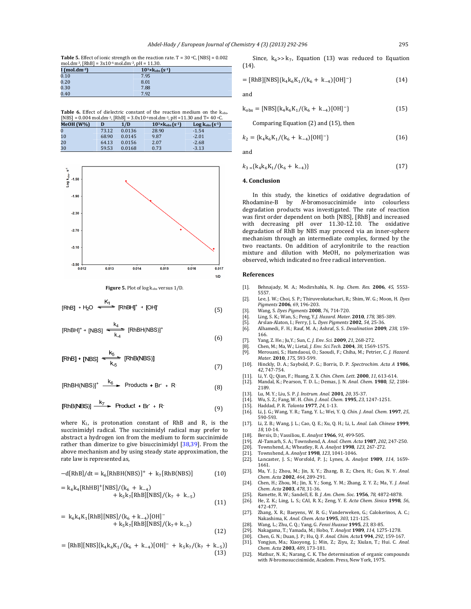**Table 5.** Effect of ionic strength on the reaction rate.  $T = 30$  °C, [NBS] =  $0.002$ mol.dm-3,  $[RhBl = 3x10^{-6} \text{ mol.} \text{dm}^{-3}$ ,  $pH = 11.30$ .

| I (mol.dm $-3$ ) | $10^{3}$ × $k_{obs}$ (s <sup>-1</sup> ) |
|------------------|-----------------------------------------|
| 0.10             | 7.95                                    |
| 0.20             | 8.01                                    |
| 0.30             | 7.88                                    |
| 0.40             | 7.92                                    |

**Table 6.** Effect of dielectric constant of the reaction medium on the kobs. [NBS] =  $0.004$  mol.dm<sup>-3</sup>, [RhB] =  $3.0x10$ <sup>-6</sup> mol.dm<sup>-3</sup>, pH = 11.30 and T= 40 °C

| MeOH (W%)      |       | 1/D    | $10^{3}$ × $k_{obs}$ (s <sup>-1</sup> ) | $Log kobs (s-1)$ |  |
|----------------|-------|--------|-----------------------------------------|------------------|--|
| $\overline{0}$ | 73.12 | 0.0136 | 28.90                                   | $-1.54$          |  |
| 10             | 68.90 | 0.0145 | 9.87                                    | $-2.01$          |  |
| 20             | 64.13 | 0.0156 | 2.07                                    | $-2.68$          |  |
| 30             | 59.53 | 0.0168 | 0.73                                    | $-3.13$          |  |





$$
[RhB] + H_2O \xrightarrow{K_1} [RhBH]^+ + [OH]^+
$$
 (5)

$$
[RhBH]^{+} + [NBS] \xrightarrow[k, 4]{} [RhBH(NBS)]^{+}
$$
\n(6)

$$
[RhB] + [NBS] \xrightarrow{k_5} [RhB(NBS)]
$$
\n(7)

$$
[RhBH(NBS)]^{+} \xrightarrow{k_{6}} \text{Products} + Br + R
$$
 (8)

$$
[RhB(NBS)] \xrightarrow{k_7} \text{Product} + Br + R'
$$
 (9)

where  $K_1$ , is protonation constant of RhB and R, is the succinimidyl radical. The succinimidyl radical may prefer to abstract a hydrogen ion from the medium to form succinimide rather than dimerize to give bisuccinimidyl  $[38,39]$ . From the above mechanism and by using steady state approximation, the rate law is represented as,

$$
-d[RhB]/dt = k_6[RhBH(NBS)]^+ + k_7[RhB(NBS)] \tag{10}
$$

$$
= k_6k_4[RhHB]^+[NBS]/(k_6 + k_{-4}) + k_5k_7[RhB][NBS]/(k_7 + k_{-5})
$$
\n(11)

$$
= k_6k_4K_1[RhB][NBS]/(k_6 + k_{-4})[OH]- + k_5k_7[RhB][NBS]/(k_7 + k_{-5})
$$
\n(12)

$$
= [RhB][NBS]\{k_4k_6K_1/(k_6 + k_{-4})[OH]^-\ + k_5k_7/(k_7 + k_{-5})\}
$$
\n(13)

Since,  $k_6$ >>  $k_7$ , Equation (13) was reduced to Equation (14). 

$$
= [RhB][NBS]\{k_4k_6K_1/(k_6 + k_{-4})[OH]^-\}
$$
 (14)

and 

$$
k_{obs} = [NBS]\{k_4k_6K_1/(k_6 + k_{-4})[OH]^{-}\}
$$
 (15)

Comparing Equation  $(2)$  and  $(15)$ , then

$$
k_2 = \{k_4 k_6 K_1 / (k_6 + k_{-4}) [OH]^-\}\
$$
 (16)

and 

$$
k_{3} = \{k_4 k_6 K_1 / (k_6 + k_{-4})\}\tag{17}
$$

#### **4. Conclusion**

In this study, the kinetics of oxidative degradation of Rhodamine-B by *N*-bromosuccinimide into colourless degradation products was investigated. The rate of reaction was first order dependent on both [NBS], [RhB] and increased with decreasing pH over 11.30-12.10. The oxidative degradation of RhB by NBS may proceed via an inner-sphere mechanism through an intermediate complex, formed by the two reactants. On addition of acrylonitrile to the reaction mixture and dilution with MeOH, no polymerization was observed, which indicated no free radical intervention.

#### **References**

- [1]. Behnajady, M. A.; Modirshahla, N. *Ing. Chem. Res.* **2006**, 45, 5553-5557.
- [2]. Lee, J. W.; Choi, S. P.; Thiruvenkatachari, R.; Shim, W. G.; Moon, H. *Dyes Pigments* **2006**, *69*, 196‐203.
- [3]. Wang, S. *Dyes Pigments* **2008**, *76*, 714‐720.
- [4]. Ling, S. K.; Wan, S.; Peng, Y.*J. Hazard. Mater.* **2010**, *178*, 385‐389.
- 
- [5]. Arslan-Alaton, I.; Ferry, J. L. *Dyes Pigments* **2002**, 54, 25-36.<br>[6]. Alhamedi, F. H.; Rauf, M. A.; Ashraf, S. S. *Desalination* **200**9. [6]. Alhamedi, F. H.; Rauf, M. A.; Ashraf, S. S. *Desalination* **2009**, *238*, 159‐
- 166.
- [7]. Yang, Z. He.; Ju,Y.; Sun, C. *J. Env. Sci.* **2009**, *21*, 268‐272.
- [8]. Chen, M.; Ma, W.; Lietal, *J. Env. Sci.Tech.* **2004**, 38, 1569-1575
- [9]. Merouani, S.; Hamdaoui, O.; Saoudi, F.; Chiha, M.; Petrier, C. *J. Hazard. Mater*. **2010**, *175*, 593‐599.
- [10]. Hinckly, D. A.; Saybold, P. G.; Borris, D. P. *Spectrochim. Acta A* **1986**, *42*, 747‐754.
- [11]. Li, Y. Q.; Qian, F.; Huang, Z. X. *Chin. Chem. Lett*. **2000**, *11*, 613‐614.
- [12]. Mandal, K.; Pearson, T. D. L.; Demas, J. N. *Anal. Chem*. **1980**, *52*, 2184‐ 2189.
- [13]. Lu, M. Y.; Liu, S. P. *J. Instrum. Anal.* **2001**, *20*, 35‐37.
- [14]. Wu, S. Z.; Fang, W. H. *Chin. J. Anal. Chem*. **1995**, *23*, 1247‐1251.
- [15]. Haddad, P. R. *Talanta* **1977**, *24*, 1‐13.
- [16]. Li, J. G.; Wang, Y. R.; Tang, Y. L.; Wei, Y. Q. *Chin. J. Anal. Chem*. **1997**, *25*, 590‐593.
- [17]. Li, Z. B.; Wang, J. L.; Cao, Q. E.; Xu, Q. H.; Li, L. *Anal. Lab. Chinese* **1999**, *18*, 10‐14.
- [18]. Bersis, D.; Vassiliou, E. *Analyst* **1966**, *91*, 499‐505.
- [19]. Al‐Tamarh, S. A.; Townshend, A. *Anal. Chem. Acta* **1987**, *202*, 247‐250.
- [20]. Townshend, A.; Wheatley, R. A. *Analyst* **1998**, 123, 267-272. [21]. Townshend, A. *Analyst* **1998**, 123, 1041-1046.
- 
- [22]. Lancaster, J. S.; Worsfold, P. J.; Lynes, A. *Analyst* **1989**, *114*, 1659‐ 1661.
- [23]. Ma, Y. J.; Zhou, M.; Jin, X. Y.; Zhang, B. Z.; Chen, H.; Guo, N. Y. *Anal. Chem. Acta* **2002**, *464*, 289‐291.
- [24]. Chen, H.; Zhou, M.; Jin, X. Y.; Song, Y. M.; Zhang, Z. Y. Z.; Ma, Y. *J. Anal. Chem. Acta* **2003**, *478*, 31‐36.
- [25]. Ramette, R. W.; Sandell, E. B. *J. Am. Chem. Soc.* **1956**, 78, 4872-4878.
- [26]. He, Z. K.; Ling, L. S.; CAI, R. X.; Zeng, Y. E. Acta Chem. Sinica 1998, 56, 472‐477.
- [27]. Zhang, X. R.; Baeyens, W. R. G.; Vanderweken, G.; Calokerinos, A. C.; Nakashima, K. *Anal. Chem. Acta* **1995**, *303*, 121‐125.
- [28]. Wang, L.; Zhu, C. Q.; Yang, G. *Fenxi Huaxue* **1995**, *23*, 83‐85.
- [29]. Nakagama, T.; Yamada, M.; Hobo, T. *Analyst* **1989**, *114*, 1275‐1278.
- [30]. Chen, G. N.; Duan, J. P.; Hu, Q. F. *Anal. Chim. Acta* **1994**, 292, 159-167.<br>[31]. Yongjun, Ma.; Xiaoyong, J.; Min, Z.; Ziyu, Z.; Xiulan, T.; Hui. C. *Anal.*
- *Chem. Acta* **2003**, *489*, 173‐181.
- [32]. Mathur, N. K.; Narang, C. K. The determination of organic compounds with *N*-bromosuccinimide, Academ. Press, New York, 1975.